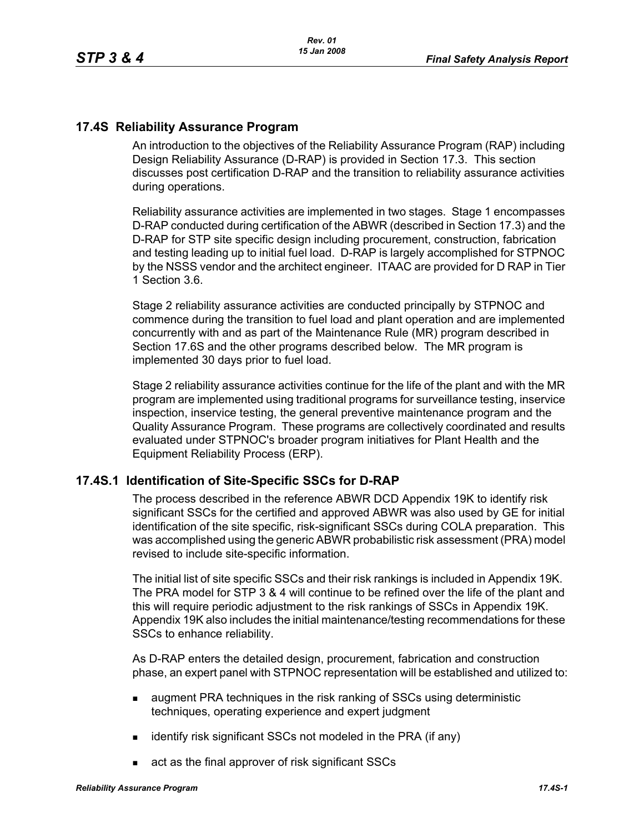# **17.4S Reliability Assurance Program**

An introduction to the objectives of the Reliability Assurance Program (RAP) including Design Reliability Assurance (D-RAP) is provided in Section 17.3. This section discusses post certification D-RAP and the transition to reliability assurance activities during operations.

Reliability assurance activities are implemented in two stages. Stage 1 encompasses D-RAP conducted during certification of the ABWR (described in Section 17.3) and the D-RAP for STP site specific design including procurement, construction, fabrication and testing leading up to initial fuel load. D-RAP is largely accomplished for STPNOC by the NSSS vendor and the architect engineer. ITAAC are provided for D RAP in Tier 1 Section 3.6.

Stage 2 reliability assurance activities are conducted principally by STPNOC and commence during the transition to fuel load and plant operation and are implemented concurrently with and as part of the Maintenance Rule (MR) program described in Section 17.6S and the other programs described below. The MR program is implemented 30 days prior to fuel load.

Stage 2 reliability assurance activities continue for the life of the plant and with the MR program are implemented using traditional programs for surveillance testing, inservice inspection, inservice testing, the general preventive maintenance program and the Quality Assurance Program. These programs are collectively coordinated and results evaluated under STPNOC's broader program initiatives for Plant Health and the Equipment Reliability Process (ERP).

## **17.4S.1 Identification of Site-Specific SSCs for D-RAP**

The process described in the reference ABWR DCD Appendix 19K to identify risk significant SSCs for the certified and approved ABWR was also used by GE for initial identification of the site specific, risk-significant SSCs during COLA preparation. This was accomplished using the generic ABWR probabilistic risk assessment (PRA) model revised to include site-specific information.

The initial list of site specific SSCs and their risk rankings is included in Appendix 19K. The PRA model for STP 3 & 4 will continue to be refined over the life of the plant and this will require periodic adjustment to the risk rankings of SSCs in Appendix 19K. Appendix 19K also includes the initial maintenance/testing recommendations for these SSCs to enhance reliability.

As D-RAP enters the detailed design, procurement, fabrication and construction phase, an expert panel with STPNOC representation will be established and utilized to:

- **a** augment PRA techniques in the risk ranking of SSCs using deterministic techniques, operating experience and expert judgment
- $\blacksquare$  identify risk significant SSCs not modeled in the PRA (if any)
- act as the final approver of risk significant SSCs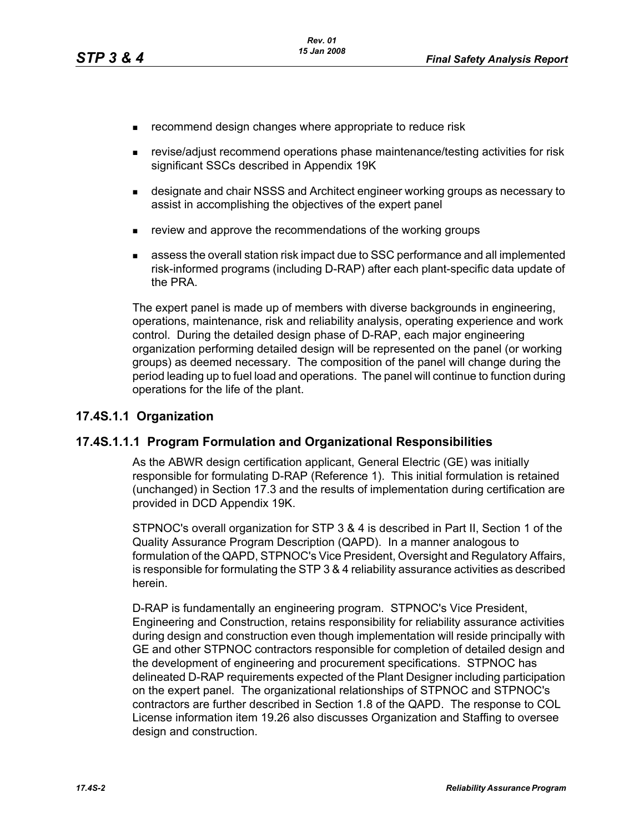- **EXECOMMENDERIGHT CHANGES** where appropriate to reduce risk
- revise/adjust recommend operations phase maintenance/testing activities for risk significant SSCs described in Appendix 19K
- designate and chair NSSS and Architect engineer working groups as necessary to assist in accomplishing the objectives of the expert panel
- **EXECT** review and approve the recommendations of the working groups
- assess the overall station risk impact due to SSC performance and all implemented risk-informed programs (including D-RAP) after each plant-specific data update of the PRA.

The expert panel is made up of members with diverse backgrounds in engineering, operations, maintenance, risk and reliability analysis, operating experience and work control. During the detailed design phase of D-RAP, each major engineering organization performing detailed design will be represented on the panel (or working groups) as deemed necessary. The composition of the panel will change during the period leading up to fuel load and operations. The panel will continue to function during operations for the life of the plant.

#### **17.4S.1.1 Organization**

#### **17.4S.1.1.1 Program Formulation and Organizational Responsibilities**

As the ABWR design certification applicant, General Electric (GE) was initially responsible for formulating D-RAP (Reference 1). This initial formulation is retained (unchanged) in Section 17.3 and the results of implementation during certification are provided in DCD Appendix 19K.

STPNOC's overall organization for STP 3 & 4 is described in Part II, Section 1 of the Quality Assurance Program Description (QAPD). In a manner analogous to formulation of the QAPD, STPNOC's Vice President, Oversight and Regulatory Affairs, is responsible for formulating the STP 3 & 4 reliability assurance activities as described herein.

D-RAP is fundamentally an engineering program. STPNOC's Vice President, Engineering and Construction, retains responsibility for reliability assurance activities during design and construction even though implementation will reside principally with GE and other STPNOC contractors responsible for completion of detailed design and the development of engineering and procurement specifications. STPNOC has delineated D-RAP requirements expected of the Plant Designer including participation on the expert panel. The organizational relationships of STPNOC and STPNOC's contractors are further described in Section 1.8 of the QAPD. The response to COL License information item 19.26 also discusses Organization and Staffing to oversee design and construction.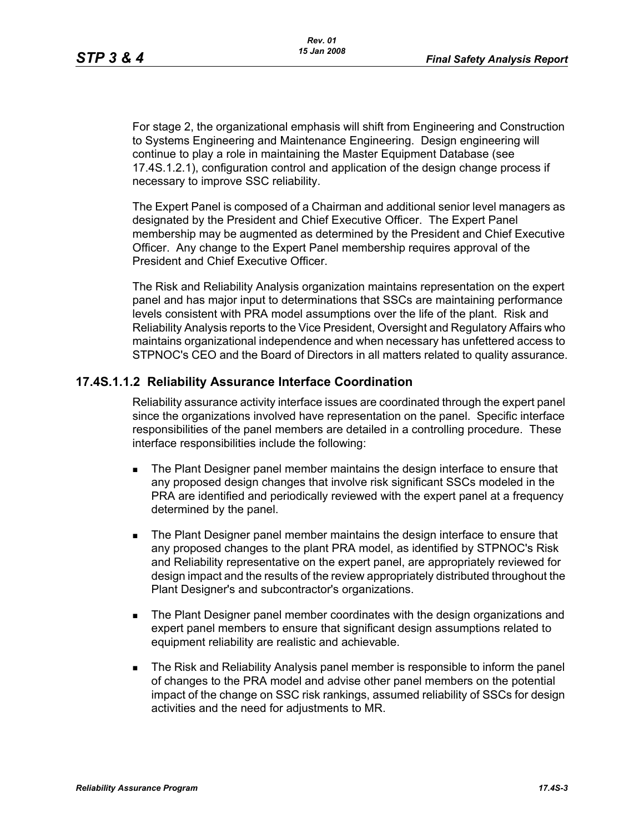For stage 2, the organizational emphasis will shift from Engineering and Construction to Systems Engineering and Maintenance Engineering. Design engineering will continue to play a role in maintaining the Master Equipment Database (see 17.4S.1.2.1), configuration control and application of the design change process if necessary to improve SSC reliability.

The Expert Panel is composed of a Chairman and additional senior level managers as designated by the President and Chief Executive Officer. The Expert Panel membership may be augmented as determined by the President and Chief Executive Officer. Any change to the Expert Panel membership requires approval of the President and Chief Executive Officer.

The Risk and Reliability Analysis organization maintains representation on the expert panel and has major input to determinations that SSCs are maintaining performance levels consistent with PRA model assumptions over the life of the plant. Risk and Reliability Analysis reports to the Vice President, Oversight and Regulatory Affairs who maintains organizational independence and when necessary has unfettered access to STPNOC's CEO and the Board of Directors in all matters related to quality assurance.

### **17.4S.1.1.2 Reliability Assurance Interface Coordination**

Reliability assurance activity interface issues are coordinated through the expert panel since the organizations involved have representation on the panel. Specific interface responsibilities of the panel members are detailed in a controlling procedure. These interface responsibilities include the following:

- **The Plant Designer panel member maintains the design interface to ensure that** any proposed design changes that involve risk significant SSCs modeled in the PRA are identified and periodically reviewed with the expert panel at a frequency determined by the panel.
- **The Plant Designer panel member maintains the design interface to ensure that** any proposed changes to the plant PRA model, as identified by STPNOC's Risk and Reliability representative on the expert panel, are appropriately reviewed for design impact and the results of the review appropriately distributed throughout the Plant Designer's and subcontractor's organizations.
- **The Plant Designer panel member coordinates with the design organizations and** expert panel members to ensure that significant design assumptions related to equipment reliability are realistic and achievable.
- The Risk and Reliability Analysis panel member is responsible to inform the panel of changes to the PRA model and advise other panel members on the potential impact of the change on SSC risk rankings, assumed reliability of SSCs for design activities and the need for adjustments to MR.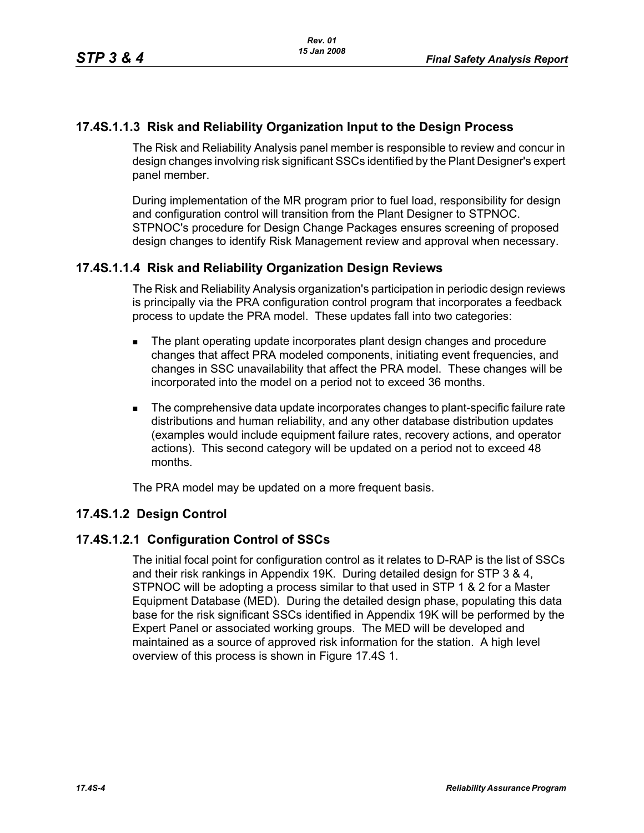# **17.4S.1.1.3 Risk and Reliability Organization Input to the Design Process**

The Risk and Reliability Analysis panel member is responsible to review and concur in design changes involving risk significant SSCs identified by the Plant Designer's expert panel member.

During implementation of the MR program prior to fuel load, responsibility for design and configuration control will transition from the Plant Designer to STPNOC. STPNOC's procedure for Design Change Packages ensures screening of proposed design changes to identify Risk Management review and approval when necessary.

## **17.4S.1.1.4 Risk and Reliability Organization Design Reviews**

The Risk and Reliability Analysis organization's participation in periodic design reviews is principally via the PRA configuration control program that incorporates a feedback process to update the PRA model. These updates fall into two categories:

- **The plant operating update incorporates plant design changes and procedure** changes that affect PRA modeled components, initiating event frequencies, and changes in SSC unavailability that affect the PRA model. These changes will be incorporated into the model on a period not to exceed 36 months.
- The comprehensive data update incorporates changes to plant-specific failure rate distributions and human reliability, and any other database distribution updates (examples would include equipment failure rates, recovery actions, and operator actions). This second category will be updated on a period not to exceed 48 months.

The PRA model may be updated on a more frequent basis.

### **17.4S.1.2 Design Control**

### **17.4S.1.2.1 Configuration Control of SSCs**

The initial focal point for configuration control as it relates to D-RAP is the list of SSCs and their risk rankings in Appendix 19K. During detailed design for STP 3 & 4, STPNOC will be adopting a process similar to that used in STP 1 & 2 for a Master Equipment Database (MED). During the detailed design phase, populating this data base for the risk significant SSCs identified in Appendix 19K will be performed by the Expert Panel or associated working groups. The MED will be developed and maintained as a source of approved risk information for the station. A high level overview of this process is shown in Figure 17.4S 1.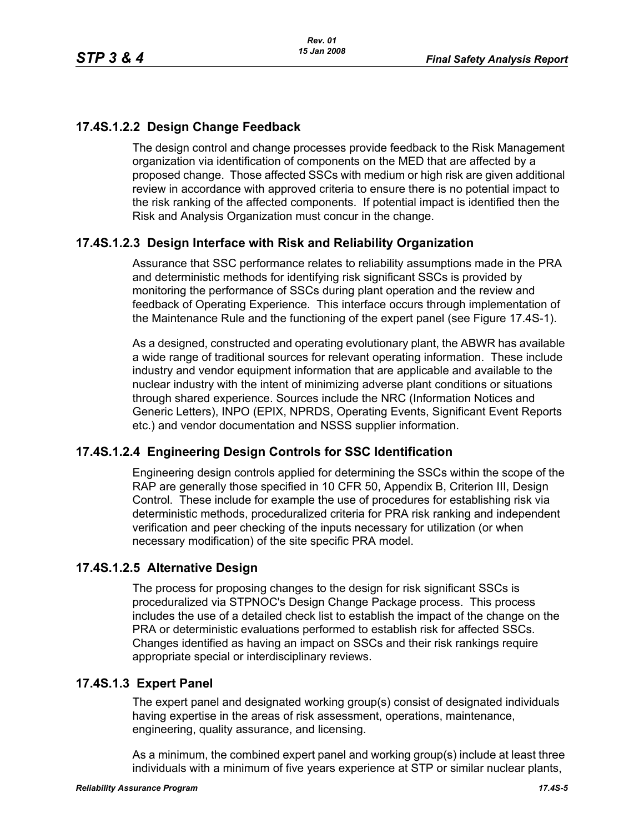# **17.4S.1.2.2 Design Change Feedback**

The design control and change processes provide feedback to the Risk Management organization via identification of components on the MED that are affected by a proposed change. Those affected SSCs with medium or high risk are given additional review in accordance with approved criteria to ensure there is no potential impact to the risk ranking of the affected components. If potential impact is identified then the Risk and Analysis Organization must concur in the change.

# **17.4S.1.2.3 Design Interface with Risk and Reliability Organization**

Assurance that SSC performance relates to reliability assumptions made in the PRA and deterministic methods for identifying risk significant SSCs is provided by monitoring the performance of SSCs during plant operation and the review and feedback of Operating Experience. This interface occurs through implementation of the Maintenance Rule and the functioning of the expert panel (see Figure 17.4S-1).

As a designed, constructed and operating evolutionary plant, the ABWR has available a wide range of traditional sources for relevant operating information. These include industry and vendor equipment information that are applicable and available to the nuclear industry with the intent of minimizing adverse plant conditions or situations through shared experience. Sources include the NRC (Information Notices and Generic Letters), INPO (EPIX, NPRDS, Operating Events, Significant Event Reports etc.) and vendor documentation and NSSS supplier information.

## **17.4S.1.2.4 Engineering Design Controls for SSC Identification**

Engineering design controls applied for determining the SSCs within the scope of the RAP are generally those specified in 10 CFR 50, Appendix B, Criterion III, Design Control. These include for example the use of procedures for establishing risk via deterministic methods, proceduralized criteria for PRA risk ranking and independent verification and peer checking of the inputs necessary for utilization (or when necessary modification) of the site specific PRA model.

## **17.4S.1.2.5 Alternative Design**

The process for proposing changes to the design for risk significant SSCs is proceduralized via STPNOC's Design Change Package process. This process includes the use of a detailed check list to establish the impact of the change on the PRA or deterministic evaluations performed to establish risk for affected SSCs. Changes identified as having an impact on SSCs and their risk rankings require appropriate special or interdisciplinary reviews.

## **17.4S.1.3 Expert Panel**

The expert panel and designated working group(s) consist of designated individuals having expertise in the areas of risk assessment, operations, maintenance, engineering, quality assurance, and licensing.

As a minimum, the combined expert panel and working group(s) include at least three individuals with a minimum of five years experience at STP or similar nuclear plants,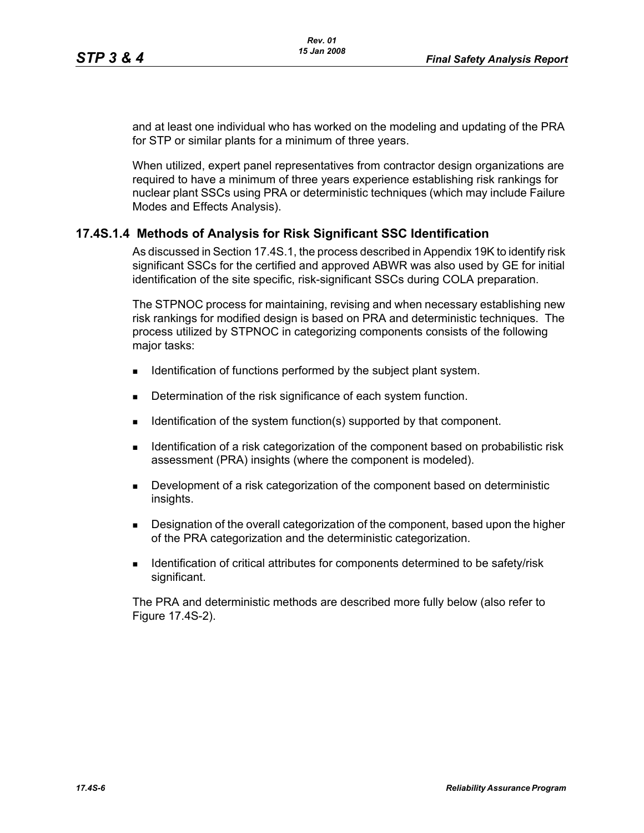and at least one individual who has worked on the modeling and updating of the PRA for STP or similar plants for a minimum of three years.

When utilized, expert panel representatives from contractor design organizations are required to have a minimum of three years experience establishing risk rankings for nuclear plant SSCs using PRA or deterministic techniques (which may include Failure Modes and Effects Analysis).

## **17.4S.1.4 Methods of Analysis for Risk Significant SSC Identification**

As discussed in Section 17.4S.1, the process described in Appendix 19K to identify risk significant SSCs for the certified and approved ABWR was also used by GE for initial identification of the site specific, risk-significant SSCs during COLA preparation.

The STPNOC process for maintaining, revising and when necessary establishing new risk rankings for modified design is based on PRA and deterministic techniques. The process utilized by STPNOC in categorizing components consists of the following major tasks:

- **IDENTIFICATE IS CONTIFICATE:** Identification of functions performed by the subject plant system.
- Determination of the risk significance of each system function.
- $\blacksquare$  Identification of the system function(s) supported by that component.
- **IDENTIFY IDENTIFY IDENT** Identification of the component based on probabilistic risk assessment (PRA) insights (where the component is modeled).
- Development of a risk categorization of the component based on deterministic insights.
- **Designation of the overall categorization of the component, based upon the higher** of the PRA categorization and the deterministic categorization.
- **IDENTIFICATE:** Identification of critical attributes for components determined to be safety/risk significant.

The PRA and deterministic methods are described more fully below (also refer to Figure 17.4S-2).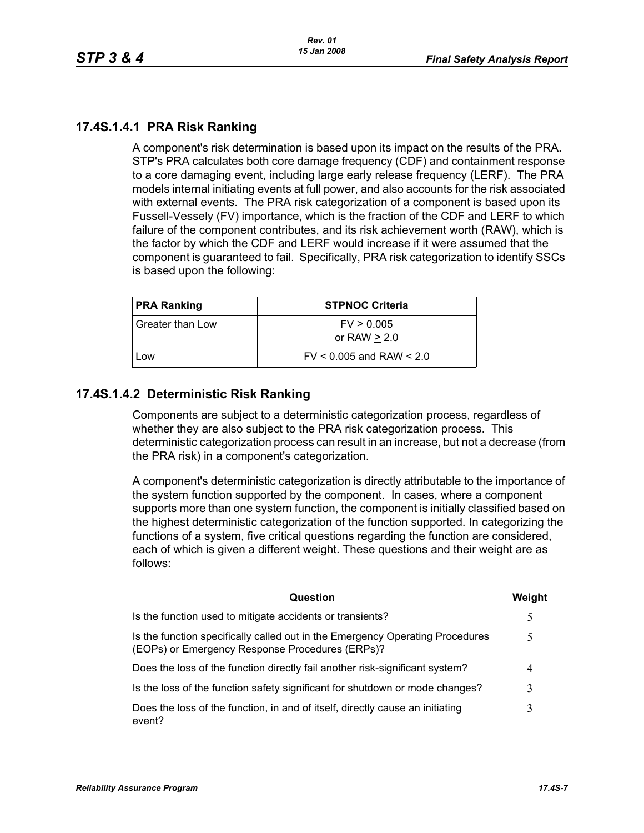# **17.4S.1.4.1 PRA Risk Ranking**

A component's risk determination is based upon its impact on the results of the PRA. STP's PRA calculates both core damage frequency (CDF) and containment response to a core damaging event, including large early release frequency (LERF). The PRA models internal initiating events at full power, and also accounts for the risk associated with external events. The PRA risk categorization of a component is based upon its Fussell-Vessely (FV) importance, which is the fraction of the CDF and LERF to which failure of the component contributes, and its risk achievement worth (RAW), which is the factor by which the CDF and LERF would increase if it were assumed that the component is guaranteed to fail. Specifically, PRA risk categorization to identify SSCs is based upon the following:

| <b>PRA Ranking</b> | <b>STPNOC Criteria</b>       |  |
|--------------------|------------------------------|--|
| Greater than Low   | FV > 0.005<br>or RAW $> 2.0$ |  |
| Low                | $FV < 0.005$ and RAW $< 2.0$ |  |

# **17.4S.1.4.2 Deterministic Risk Ranking**

Components are subject to a deterministic categorization process, regardless of whether they are also subject to the PRA risk categorization process. This deterministic categorization process can result in an increase, but not a decrease (from the PRA risk) in a component's categorization.

A component's deterministic categorization is directly attributable to the importance of the system function supported by the component. In cases, where a component supports more than one system function, the component is initially classified based on the highest deterministic categorization of the function supported. In categorizing the functions of a system, five critical questions regarding the function are considered, each of which is given a different weight. These questions and their weight are as follows:

| Question                                                                                                                         | Weight |
|----------------------------------------------------------------------------------------------------------------------------------|--------|
| Is the function used to mitigate accidents or transients?                                                                        |        |
| Is the function specifically called out in the Emergency Operating Procedures<br>(EOPs) or Emergency Response Procedures (ERPs)? |        |
| Does the loss of the function directly fail another risk-significant system?                                                     |        |
| Is the loss of the function safety significant for shutdown or mode changes?                                                     | 3      |
| Does the loss of the function, in and of itself, directly cause an initiating<br>event?                                          |        |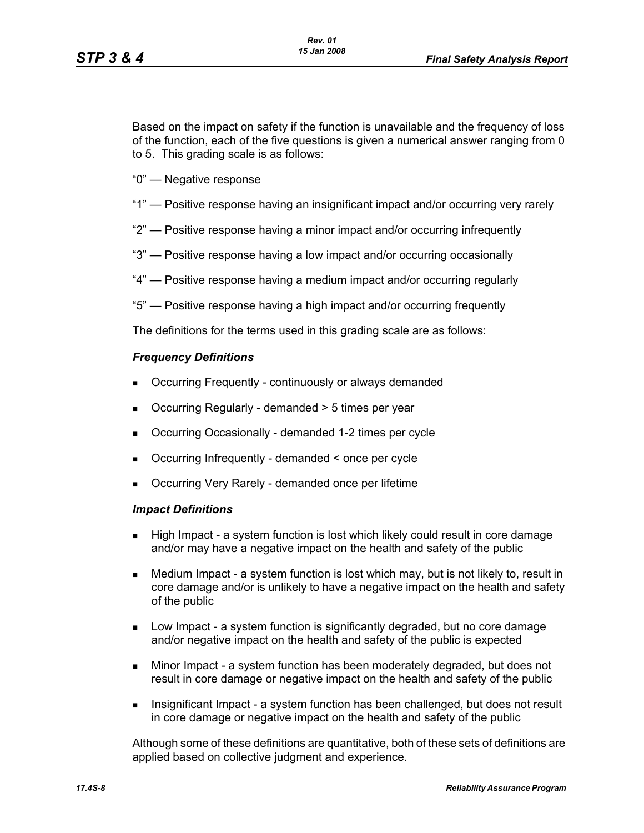Based on the impact on safety if the function is unavailable and the frequency of loss of the function, each of the five questions is given a numerical answer ranging from 0 to 5. This grading scale is as follows:

- "0" Negative response
- "1" Positive response having an insignificant impact and/or occurring very rarely
- "2" Positive response having a minor impact and/or occurring infrequently
- "3" Positive response having a low impact and/or occurring occasionally
- "4" Positive response having a medium impact and/or occurring regularly
- "5" Positive response having a high impact and/or occurring frequently

The definitions for the terms used in this grading scale are as follows:

#### *Frequency Definitions*

- Occurring Frequently continuously or always demanded
- Occurring Regularly demanded > 5 times per year
- Occurring Occasionally demanded 1-2 times per cycle
- Occurring Infrequently demanded < once per cycle
- Occurring Very Rarely demanded once per lifetime

#### *Impact Definitions*

- High Impact a system function is lost which likely could result in core damage and/or may have a negative impact on the health and safety of the public
- Medium Impact a system function is lost which may, but is not likely to, result in core damage and/or is unlikely to have a negative impact on the health and safety of the public
- Low Impact a system function is significantly degraded, but no core damage and/or negative impact on the health and safety of the public is expected
- Minor Impact a system function has been moderately degraded, but does not result in core damage or negative impact on the health and safety of the public
- Insignificant Impact a system function has been challenged, but does not result in core damage or negative impact on the health and safety of the public

Although some of these definitions are quantitative, both of these sets of definitions are applied based on collective judgment and experience.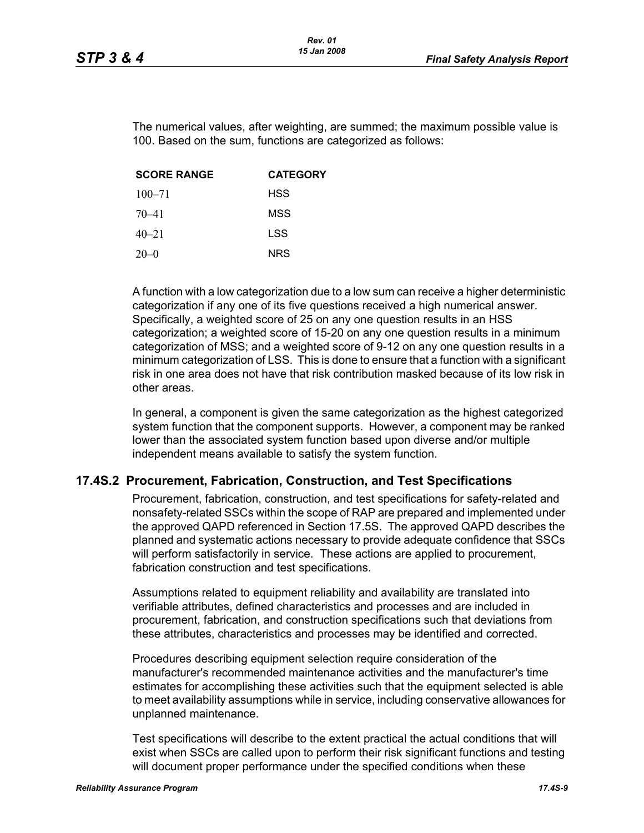The numerical values, after weighting, are summed; the maximum possible value is 100. Based on the sum, functions are categorized as follows:

| <b>SCORE RANGE</b> | <b>CATEGORY</b> |
|--------------------|-----------------|
| $100 - 71$         | <b>HSS</b>      |
| $70 - 41$          | MSS             |
| $40 - 21$          | LSS             |
| $20-0$             | <b>NRS</b>      |

A function with a low categorization due to a low sum can receive a higher deterministic categorization if any one of its five questions received a high numerical answer. Specifically, a weighted score of 25 on any one question results in an HSS categorization; a weighted score of 15-20 on any one question results in a minimum categorization of MSS; and a weighted score of 9-12 on any one question results in a minimum categorization of LSS. This is done to ensure that a function with a significant risk in one area does not have that risk contribution masked because of its low risk in other areas.

In general, a component is given the same categorization as the highest categorized system function that the component supports. However, a component may be ranked lower than the associated system function based upon diverse and/or multiple independent means available to satisfy the system function.

## **17.4S.2 Procurement, Fabrication, Construction, and Test Specifications**

Procurement, fabrication, construction, and test specifications for safety-related and nonsafety-related SSCs within the scope of RAP are prepared and implemented under the approved QAPD referenced in Section 17.5S. The approved QAPD describes the planned and systematic actions necessary to provide adequate confidence that SSCs will perform satisfactorily in service. These actions are applied to procurement, fabrication construction and test specifications.

Assumptions related to equipment reliability and availability are translated into verifiable attributes, defined characteristics and processes and are included in procurement, fabrication, and construction specifications such that deviations from these attributes, characteristics and processes may be identified and corrected.

Procedures describing equipment selection require consideration of the manufacturer's recommended maintenance activities and the manufacturer's time estimates for accomplishing these activities such that the equipment selected is able to meet availability assumptions while in service, including conservative allowances for unplanned maintenance.

Test specifications will describe to the extent practical the actual conditions that will exist when SSCs are called upon to perform their risk significant functions and testing will document proper performance under the specified conditions when these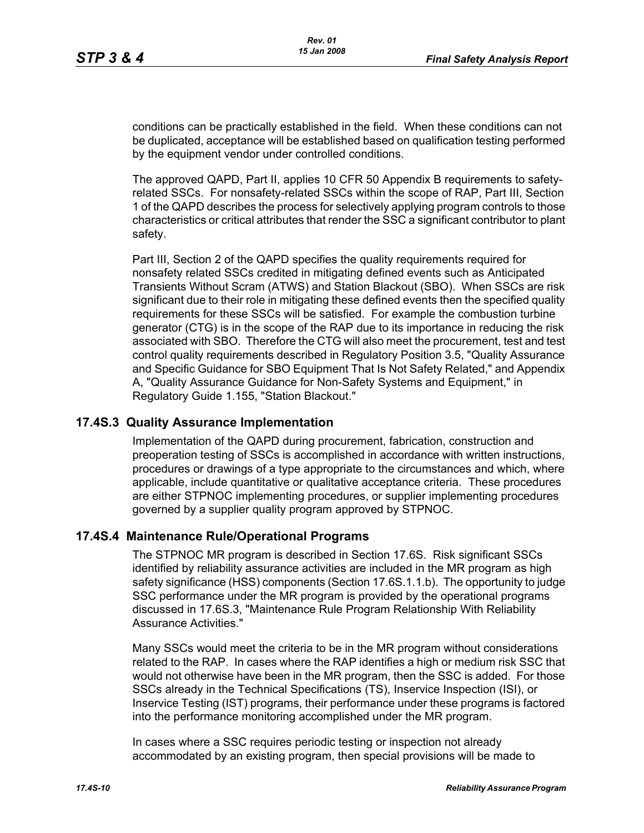conditions can be practically established in the field. When these conditions can not be duplicated, acceptance will be established based on qualification testing performed by the equipment vendor under controlled conditions.

The approved QAPD, Part II, applies 10 CFR 50 Appendix B requirements to safetyrelated SSCs. For nonsafety-related SSCs within the scope of RAP, Part III, Section 1 of the QAPD describes the process for selectively applying program controls to those characteristics or critical attributes that render the SSC a significant contributor to plant safety.

Part III, Section 2 of the QAPD specifies the quality requirements required for nonsafety related SSCs credited in mitigating defined events such as Anticipated Transients Without Scram (ATWS) and Station Blackout (SBO). When SSCs are risk significant due to their role in mitigating these defined events then the specified quality requirements for these SSCs will be satisfied. For example the combustion turbine generator (CTG) is in the scope of the RAP due to its importance in reducing the risk associated with SBO. Therefore the CTG will also meet the procurement, test and test control quality requirements described in Regulatory Position 3.5, "Quality Assurance and Specific Guidance for SBO Equipment That Is Not Safety Related," and Appendix A, "Quality Assurance Guidance for Non-Safety Systems and Equipment," in Regulatory Guide 1.155, "Station Blackout."

### **17.4S.3 Quality Assurance Implementation**

Implementation of the QAPD during procurement, fabrication, construction and preoperation testing of SSCs is accomplished in accordance with written instructions, procedures or drawings of a type appropriate to the circumstances and which, where applicable, include quantitative or qualitative acceptance criteria. These procedures are either STPNOC implementing procedures, or supplier implementing procedures governed by a supplier quality program approved by STPNOC.

### **17.4S.4 Maintenance Rule/Operational Programs**

The STPNOC MR program is described in Section 17.6S. Risk significant SSCs identified by reliability assurance activities are included in the MR program as high safety significance (HSS) components (Section 17.6S.1.1.b). The opportunity to judge SSC performance under the MR program is provided by the operational programs discussed in 17.6S.3, "Maintenance Rule Program Relationship With Reliability Assurance Activities."

Many SSCs would meet the criteria to be in the MR program without considerations related to the RAP. In cases where the RAP identifies a high or medium risk SSC that would not otherwise have been in the MR program, then the SSC is added. For those SSCs already in the Technical Specifications (TS), Inservice Inspection (ISI), or Inservice Testing (IST) programs, their performance under these programs is factored into the performance monitoring accomplished under the MR program.

In cases where a SSC requires periodic testing or inspection not already accommodated by an existing program, then special provisions will be made to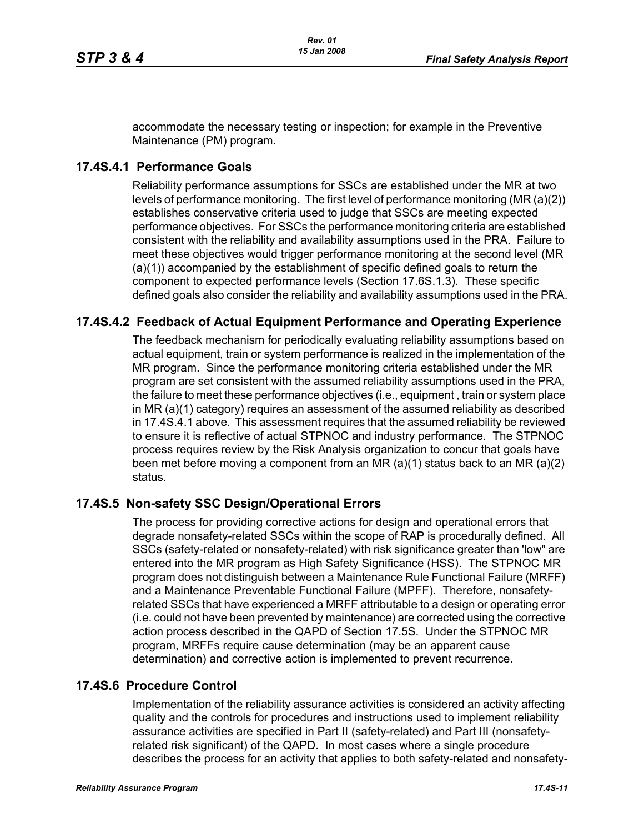accommodate the necessary testing or inspection; for example in the Preventive Maintenance (PM) program.

### **17.4S.4.1 Performance Goals**

Reliability performance assumptions for SSCs are established under the MR at two levels of performance monitoring. The first level of performance monitoring (MR (a)(2)) establishes conservative criteria used to judge that SSCs are meeting expected performance objectives. For SSCs the performance monitoring criteria are established consistent with the reliability and availability assumptions used in the PRA. Failure to meet these objectives would trigger performance monitoring at the second level (MR (a)(1)) accompanied by the establishment of specific defined goals to return the component to expected performance levels (Section 17.6S.1.3). These specific defined goals also consider the reliability and availability assumptions used in the PRA.

# **17.4S.4.2 Feedback of Actual Equipment Performance and Operating Experience**

The feedback mechanism for periodically evaluating reliability assumptions based on actual equipment, train or system performance is realized in the implementation of the MR program. Since the performance monitoring criteria established under the MR program are set consistent with the assumed reliability assumptions used in the PRA, the failure to meet these performance objectives (i.e., equipment , train or system place in MR (a)(1) category) requires an assessment of the assumed reliability as described in 17.4S.4.1 above. This assessment requires that the assumed reliability be reviewed to ensure it is reflective of actual STPNOC and industry performance. The STPNOC process requires review by the Risk Analysis organization to concur that goals have been met before moving a component from an MR (a)(1) status back to an MR (a)(2) status.

### **17.4S.5 Non-safety SSC Design/Operational Errors**

The process for providing corrective actions for design and operational errors that degrade nonsafety-related SSCs within the scope of RAP is procedurally defined. All SSCs (safety-related or nonsafety-related) with risk significance greater than 'low" are entered into the MR program as High Safety Significance (HSS). The STPNOC MR program does not distinguish between a Maintenance Rule Functional Failure (MRFF) and a Maintenance Preventable Functional Failure (MPFF). Therefore, nonsafetyrelated SSCs that have experienced a MRFF attributable to a design or operating error (i.e. could not have been prevented by maintenance) are corrected using the corrective action process described in the QAPD of Section 17.5S. Under the STPNOC MR program, MRFFs require cause determination (may be an apparent cause determination) and corrective action is implemented to prevent recurrence.

### **17.4S.6 Procedure Control**

Implementation of the reliability assurance activities is considered an activity affecting quality and the controls for procedures and instructions used to implement reliability assurance activities are specified in Part II (safety-related) and Part III (nonsafetyrelated risk significant) of the QAPD. In most cases where a single procedure describes the process for an activity that applies to both safety-related and nonsafety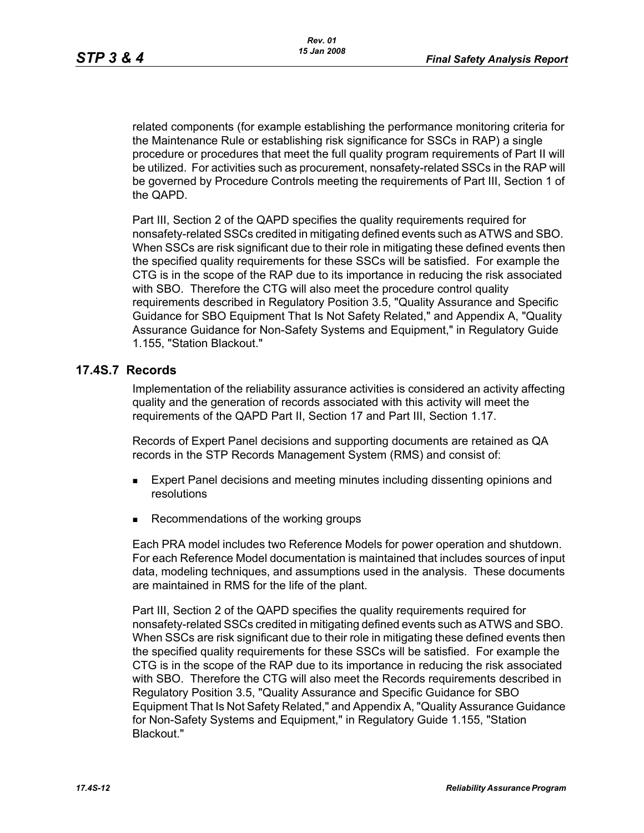related components (for example establishing the performance monitoring criteria for the Maintenance Rule or establishing risk significance for SSCs in RAP) a single procedure or procedures that meet the full quality program requirements of Part II will be utilized. For activities such as procurement, nonsafety-related SSCs in the RAP will be governed by Procedure Controls meeting the requirements of Part III, Section 1 of the QAPD.

Part III, Section 2 of the QAPD specifies the quality requirements required for nonsafety-related SSCs credited in mitigating defined events such as ATWS and SBO. When SSCs are risk significant due to their role in mitigating these defined events then the specified quality requirements for these SSCs will be satisfied. For example the CTG is in the scope of the RAP due to its importance in reducing the risk associated with SBO. Therefore the CTG will also meet the procedure control quality requirements described in Regulatory Position 3.5, "Quality Assurance and Specific Guidance for SBO Equipment That Is Not Safety Related," and Appendix A, "Quality Assurance Guidance for Non-Safety Systems and Equipment," in Regulatory Guide 1.155, "Station Blackout."

### **17.4S.7 Records**

Implementation of the reliability assurance activities is considered an activity affecting quality and the generation of records associated with this activity will meet the requirements of the QAPD Part II, Section 17 and Part III, Section 1.17.

Records of Expert Panel decisions and supporting documents are retained as QA records in the STP Records Management System (RMS) and consist of:

- **Expert Panel decisions and meeting minutes including dissenting opinions and** resolutions
- Recommendations of the working groups

Each PRA model includes two Reference Models for power operation and shutdown. For each Reference Model documentation is maintained that includes sources of input data, modeling techniques, and assumptions used in the analysis. These documents are maintained in RMS for the life of the plant.

Part III, Section 2 of the QAPD specifies the quality requirements required for nonsafety-related SSCs credited in mitigating defined events such as ATWS and SBO. When SSCs are risk significant due to their role in mitigating these defined events then the specified quality requirements for these SSCs will be satisfied. For example the CTG is in the scope of the RAP due to its importance in reducing the risk associated with SBO. Therefore the CTG will also meet the Records requirements described in Regulatory Position 3.5, "Quality Assurance and Specific Guidance for SBO Equipment That Is Not Safety Related," and Appendix A, "Quality Assurance Guidance for Non-Safety Systems and Equipment," in Regulatory Guide 1.155, "Station Blackout."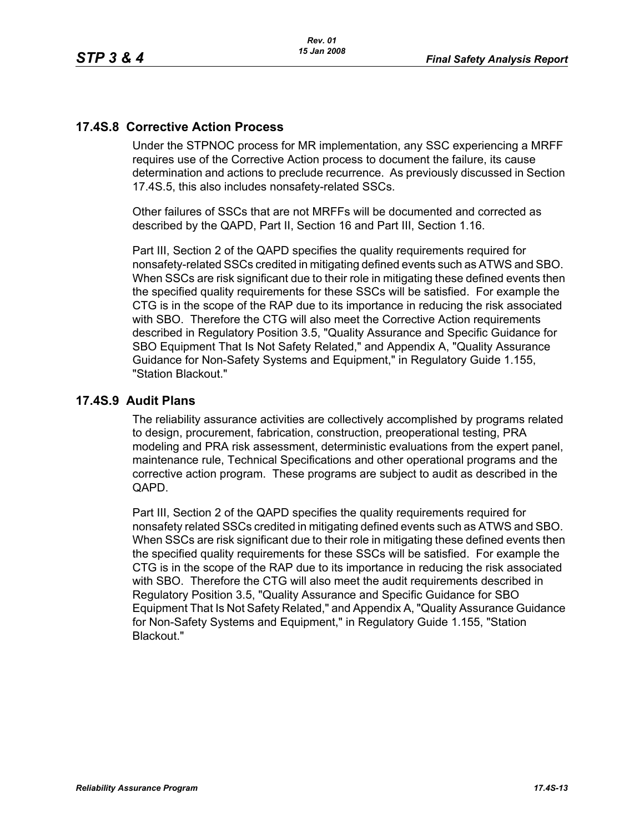### **17.4S.8 Corrective Action Process**

Under the STPNOC process for MR implementation, any SSC experiencing a MRFF requires use of the Corrective Action process to document the failure, its cause determination and actions to preclude recurrence. As previously discussed in Section 17.4S.5, this also includes nonsafety-related SSCs.

Other failures of SSCs that are not MRFFs will be documented and corrected as described by the QAPD, Part II, Section 16 and Part III, Section 1.16.

Part III, Section 2 of the QAPD specifies the quality requirements required for nonsafety-related SSCs credited in mitigating defined events such as ATWS and SBO. When SSCs are risk significant due to their role in mitigating these defined events then the specified quality requirements for these SSCs will be satisfied. For example the CTG is in the scope of the RAP due to its importance in reducing the risk associated with SBO. Therefore the CTG will also meet the Corrective Action requirements described in Regulatory Position 3.5, "Quality Assurance and Specific Guidance for SBO Equipment That Is Not Safety Related," and Appendix A, "Quality Assurance Guidance for Non-Safety Systems and Equipment," in Regulatory Guide 1.155, "Station Blackout."

### **17.4S.9 Audit Plans**

The reliability assurance activities are collectively accomplished by programs related to design, procurement, fabrication, construction, preoperational testing, PRA modeling and PRA risk assessment, deterministic evaluations from the expert panel, maintenance rule, Technical Specifications and other operational programs and the corrective action program. These programs are subject to audit as described in the QAPD.

Part III, Section 2 of the QAPD specifies the quality requirements required for nonsafety related SSCs credited in mitigating defined events such as ATWS and SBO. When SSCs are risk significant due to their role in mitigating these defined events then the specified quality requirements for these SSCs will be satisfied. For example the CTG is in the scope of the RAP due to its importance in reducing the risk associated with SBO. Therefore the CTG will also meet the audit requirements described in Regulatory Position 3.5, "Quality Assurance and Specific Guidance for SBO Equipment That Is Not Safety Related," and Appendix A, "Quality Assurance Guidance for Non-Safety Systems and Equipment," in Regulatory Guide 1.155, "Station Blackout."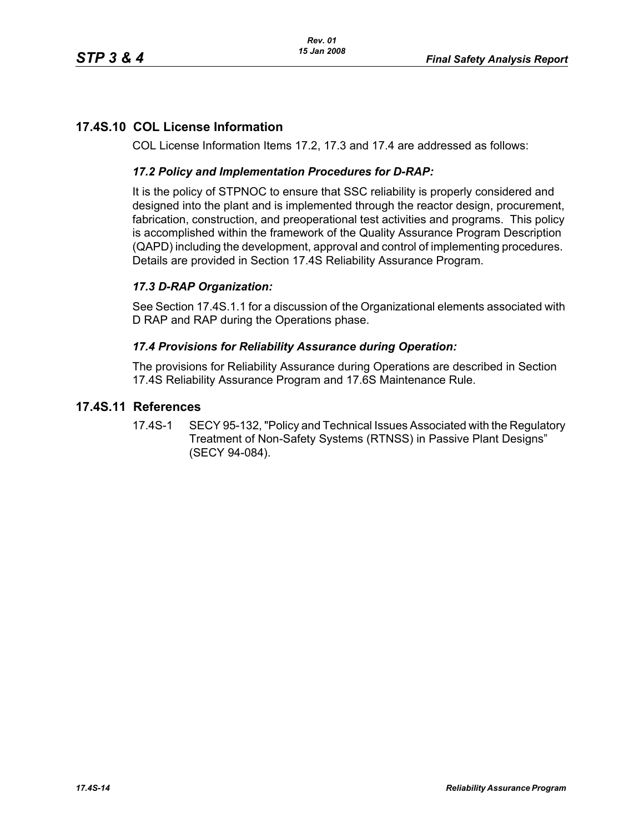# **17.4S.10 COL License Information**

COL License Information Items 17.2, 17.3 and 17.4 are addressed as follows:

### *17.2 Policy and Implementation Procedures for D-RAP:*

It is the policy of STPNOC to ensure that SSC reliability is properly considered and designed into the plant and is implemented through the reactor design, procurement, fabrication, construction, and preoperational test activities and programs. This policy is accomplished within the framework of the Quality Assurance Program Description (QAPD) including the development, approval and control of implementing procedures. Details are provided in Section 17.4S Reliability Assurance Program.

### *17.3 D-RAP Organization:*

See Section 17.4S.1.1 for a discussion of the Organizational elements associated with D RAP and RAP during the Operations phase.

#### *17.4 Provisions for Reliability Assurance during Operation:*

The provisions for Reliability Assurance during Operations are described in Section 17.4S Reliability Assurance Program and 17.6S Maintenance Rule.

### **17.4S.11 References**

17.4S-1 SECY 95-132, "Policy and Technical Issues Associated with the Regulatory Treatment of Non-Safety Systems (RTNSS) in Passive Plant Designs" (SECY 94-084).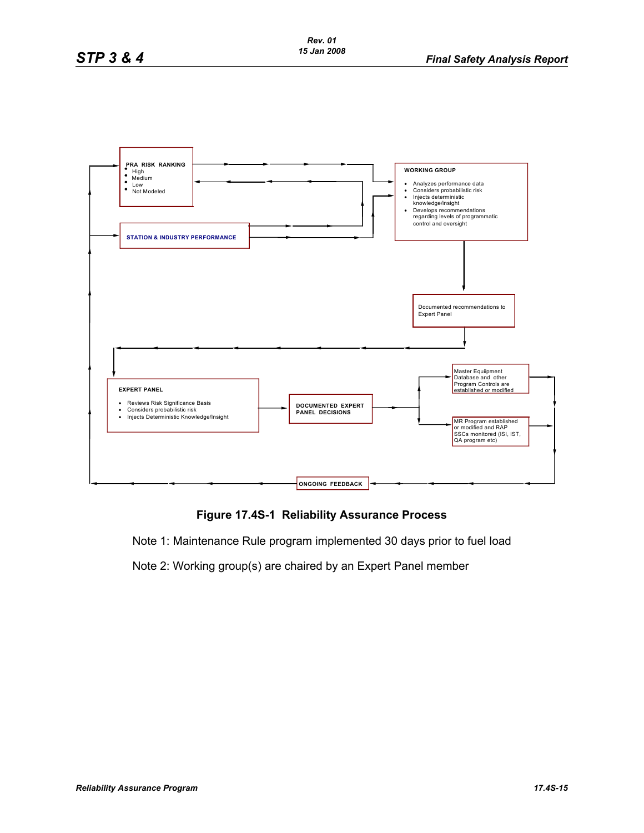

## **Figure 17.4S-1 Reliability Assurance Process**

Note 1: Maintenance Rule program implemented 30 days prior to fuel load

Note 2: Working group(s) are chaired by an Expert Panel member